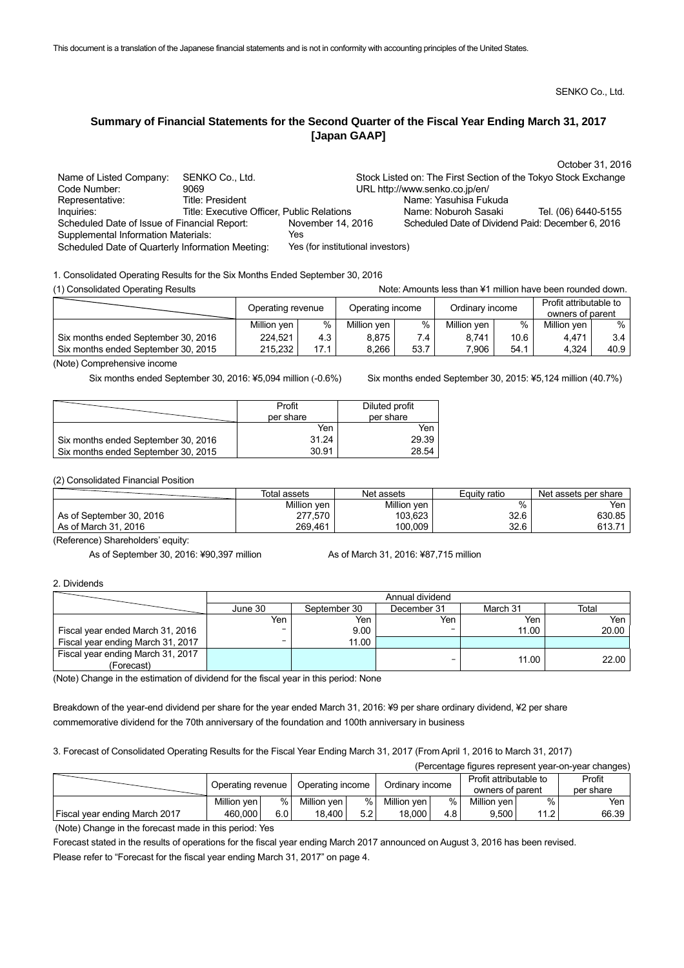SENKO Co., Ltd.

# **Summary of Financial Statements for the Second Quarter of the Fiscal Year Ending March 31, 2017 [Japan GAAP]**

|                                                  |                                            |                                   |                                                                | October 31, 2016    |
|--------------------------------------------------|--------------------------------------------|-----------------------------------|----------------------------------------------------------------|---------------------|
| Name of Listed Company:                          | SENKO Co., Ltd.                            |                                   | Stock Listed on: The First Section of the Tokyo Stock Exchange |                     |
| Code Number:                                     | 9069                                       |                                   | URL http://www.senko.co.jp/en/                                 |                     |
| Representative:                                  | Title: President                           |                                   | Name: Yasuhisa Fukuda                                          |                     |
| Inquiries:                                       | Title: Executive Officer, Public Relations |                                   | Name: Noburoh Sasaki                                           | Tel. (06) 6440-5155 |
| Scheduled Date of Issue of Financial Report:     |                                            | November 14, 2016                 | Scheduled Date of Dividend Paid: December 6, 2016              |                     |
| <b>Supplemental Information Materials:</b>       |                                            | Yes                               |                                                                |                     |
| Scheduled Date of Quarterly Information Meeting: |                                            | Yes (for institutional investors) |                                                                |                     |

1. Consolidated Operating Results for the Six Months Ended September 30, 2016

(1) Consolidated Operating Results Note: Amounts less than ¥1 million have been rounded down.

| <b>17 Consolidated Operating Results</b> |                   |      |                  |      | нок. Аночно каз пан +т пшон патс рссп юлюся чотн. |      |                                            |                  |
|------------------------------------------|-------------------|------|------------------|------|---------------------------------------------------|------|--------------------------------------------|------------------|
|                                          | Operating revenue |      | Operating income |      | Ordinary income                                   |      | Profit attributable to<br>owners of parent |                  |
|                                          |                   |      |                  |      |                                                   |      |                                            |                  |
|                                          | Million yen       | %    | Million yen      | %    | Million yen                                       | $\%$ | Million ven                                | % .              |
| Six months ended September 30, 2016      | 224,521           | 4.3  | 8.875            | 7.4  | 8,741                                             | 10.6 | 4.471                                      | 3.4 <sub>1</sub> |
| Six months ended September 30, 2015      | 215,232           | 17.1 | 8.266            | 53.7 | 7.906                                             | 54.1 | 4,324                                      | 40.9             |

(Note) Comprehensive income

Six months ended September 30, 2016: ¥5,094 million (-0.6%) Six months ended September 30, 2015: ¥5,124 million (40.7%)

(Percentage figures represent year-on-year changes)

|                                     | Profit<br>per share | Diluted profit<br>per share |
|-------------------------------------|---------------------|-----------------------------|
|                                     | Yen                 | Yen                         |
| Six months ended September 30, 2016 | 31.24               | 29.39                       |
| Six months ended September 30, 2015 | 30.91               | 28.54                       |

(2) Consolidated Financial Position

|                          | Total assets | Net assets  | Equity ratio | Net assets per share |
|--------------------------|--------------|-------------|--------------|----------------------|
|                          | Million yen  | Million ven | %            | Yen                  |
| As of September 30, 2016 | 277,570      | 103,623     | 32.6         | 630.85               |
| As of March 31, 2016     | 269,461      | 100,009     | 32.6         | 613.71               |

(Reference) Shareholders' equity:

As of September 30, 2016: ¥90,397 million As of March 31, 2016: ¥87,715 million

2. Dividends

|                                   | Annual dividend |              |             |          |       |  |  |
|-----------------------------------|-----------------|--------------|-------------|----------|-------|--|--|
|                                   | June 30         | September 30 | December 31 | March 31 | Total |  |  |
|                                   | Yen ,           | Yen          | Yen         | Yen      | Yen   |  |  |
| Fiscal year ended March 31, 2016  | -               | 9.00         |             | 11.00    | 20.00 |  |  |
| Fiscal year ending March 31, 2017 | -               | 11.00        |             |          |       |  |  |
| Fiscal year ending March 31, 2017 |                 |              |             | 11.00    | 22.00 |  |  |
| (Forecast)                        |                 |              |             |          |       |  |  |

(Note) Change in the estimation of dividend for the fiscal year in this period: None

Breakdown of the year-end dividend per share for the year ended March 31, 2016: ¥9 per share ordinary dividend, ¥2 per share commemorative dividend for the 70th anniversary of the foundation and 100th anniversary in business

3. Forecast of Consolidated Operating Results for the Fiscal Year Ending March 31, 2017 (From April 1, 2016 to March 31, 2017)

| (Felcentage inquies represent year-ori-year changes) |                                       |     |                 |     |                        |      |                  |      |           |
|------------------------------------------------------|---------------------------------------|-----|-----------------|-----|------------------------|------|------------------|------|-----------|
|                                                      | Operating income<br>Operating revenue |     | Ordinary income |     | Profit attributable to |      | Profit           |      |           |
|                                                      |                                       |     |                 |     |                        |      | owners of parent |      | per share |
|                                                      | Million yen                           | %   | Million ven     | %   | Million yen            | %    | Million yen      | %    | Yen       |
| Fiscal year ending March 2017                        | 460,000                               | 6.0 | 18,400          | 5.2 | 18.000                 | 4.8' | 9,500            | 11.2 | 66.39     |
|                                                      |                                       |     |                 |     |                        |      |                  |      |           |

(Note) Change in the forecast made in this period: Yes

Forecast stated in the results of operations for the fiscal year ending March 2017 announced on August 3, 2016 has been revised. Please refer to "Forecast for the fiscal year ending March 31, 2017" on page 4.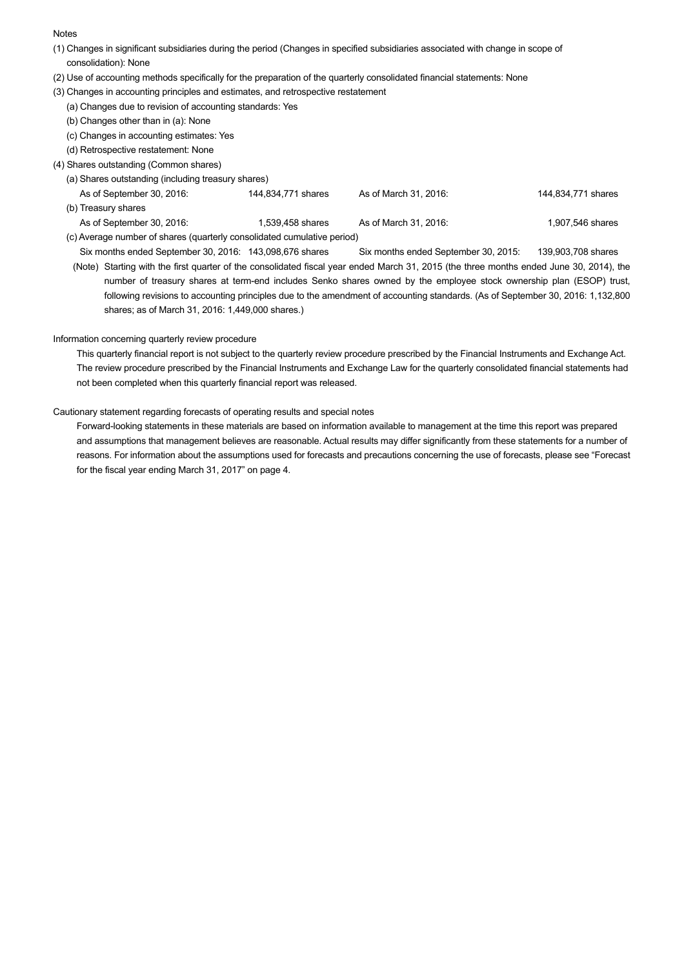#### **Notes**

- (1) Changes in significant subsidiaries during the period (Changes in specified subsidiaries associated with change in scope of consolidation): None
- (2) Use of accounting methods specifically for the preparation of the quarterly consolidated financial statements: None
- (3) Changes in accounting principles and estimates, and retrospective restatement
- (a) Changes due to revision of accounting standards: Yes
	- (b) Changes other than in (a): None
	- (c) Changes in accounting estimates: Yes
	- (d) Retrospective restatement: None
- (4) Shares outstanding (Common shares)
	- (a) Shares outstanding (including treasury shares)
	- As of September 30, 2016: 144,834,771 shares As of March 31, 2016: 144,834,771 shares As of March 31, 2016: (b) Treasury shares As of September 30, 2016: 1,539,458 shares As of March 31, 2016: 1,907,546 shares As of March 31, 2016: (c) Average number of shares (quarterly consolidated cumulative period)
		- Six months ended September 30, 2016: 143,098,676 shares Six months ended September 30, 2015: 139,903,708 shares (Note) Starting with the first quarter of the consolidated fiscal year ended March 31, 2015 (the three months ended June 30, 2014), the number of treasury shares at term-end includes Senko shares owned by the employee stock ownership plan (ESOP) trust, following revisions to accounting principles due to the amendment of accounting standards. (As of September 30, 2016: 1,132,800 shares; as of March 31, 2016: 1,449,000 shares.)

## Information concerning quarterly review procedure

 This quarterly financial report is not subject to the quarterly review procedure prescribed by the Financial Instruments and Exchange Act. The review procedure prescribed by the Financial Instruments and Exchange Law for the quarterly consolidated financial statements had not been completed when this quarterly financial report was released.

#### Cautionary statement regarding forecasts of operating results and special notes

 Forward-looking statements in these materials are based on information available to management at the time this report was prepared and assumptions that management believes are reasonable. Actual results may differ significantly from these statements for a number of reasons. For information about the assumptions used for forecasts and precautions concerning the use of forecasts, please see "Forecast for the fiscal year ending March 31, 2017" on page 4.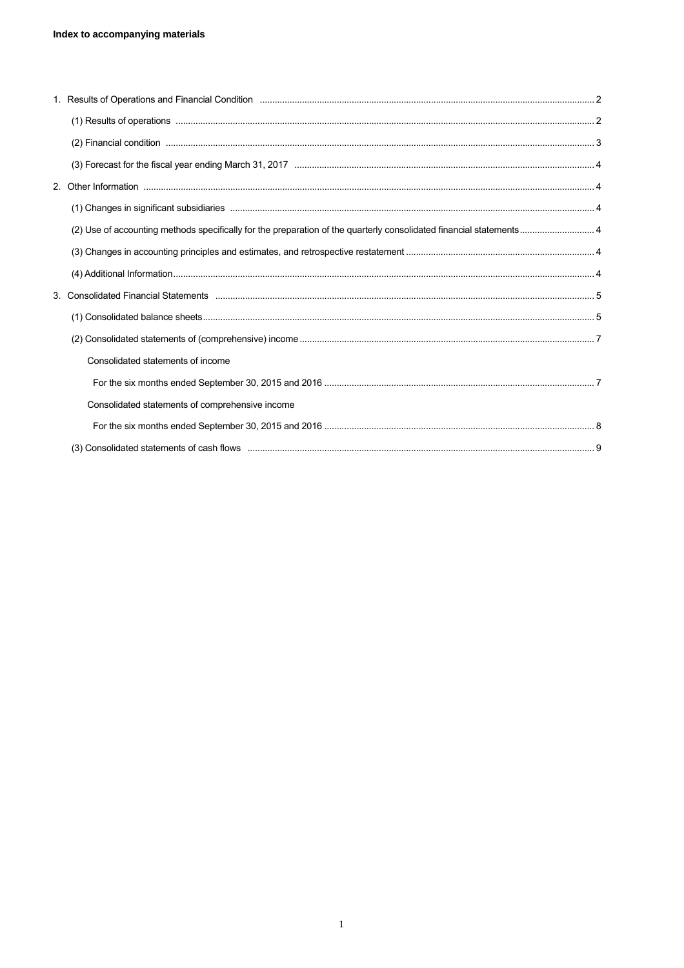| Consolidated statements of income               |  |
|-------------------------------------------------|--|
|                                                 |  |
| Consolidated statements of comprehensive income |  |
|                                                 |  |
|                                                 |  |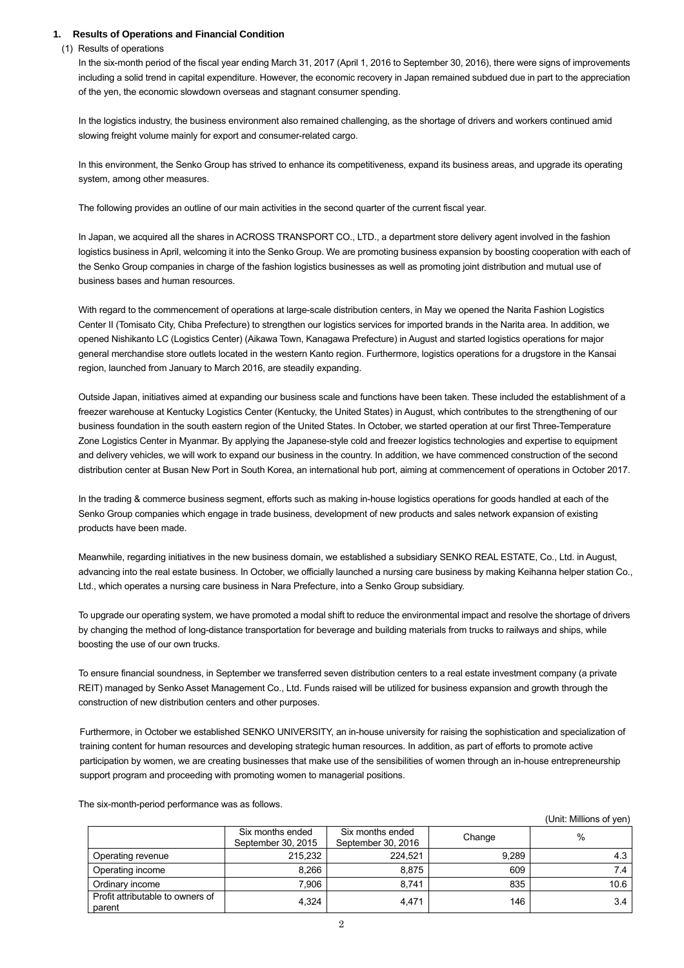## **1. Results of Operations and Financial Condition**

(1) Results of operations

In the six-month period of the fiscal year ending March 31, 2017 (April 1, 2016 to September 30, 2016), there were signs of improvements including a solid trend in capital expenditure. However, the economic recovery in Japan remained subdued due in part to the appreciation of the yen, the economic slowdown overseas and stagnant consumer spending.

In the logistics industry, the business environment also remained challenging, as the shortage of drivers and workers continued amid slowing freight volume mainly for export and consumer-related cargo.

In this environment, the Senko Group has strived to enhance its competitiveness, expand its business areas, and upgrade its operating system, among other measures.

The following provides an outline of our main activities in the second quarter of the current fiscal year.

In Japan, we acquired all the shares in ACROSS TRANSPORT CO., LTD., a department store delivery agent involved in the fashion logistics business in April, welcoming it into the Senko Group. We are promoting business expansion by boosting cooperation with each of the Senko Group companies in charge of the fashion logistics businesses as well as promoting joint distribution and mutual use of business bases and human resources.

With regard to the commencement of operations at large-scale distribution centers, in May we opened the Narita Fashion Logistics Center II (Tomisato City, Chiba Prefecture) to strengthen our logistics services for imported brands in the Narita area. In addition, we opened Nishikanto LC (Logistics Center) (Aikawa Town, Kanagawa Prefecture) in August and started logistics operations for major general merchandise store outlets located in the western Kanto region. Furthermore, logistics operations for a drugstore in the Kansai region, launched from January to March 2016, are steadily expanding.

Outside Japan, initiatives aimed at expanding our business scale and functions have been taken. These included the establishment of a freezer warehouse at Kentucky Logistics Center (Kentucky, the United States) in August, which contributes to the strengthening of our business foundation in the south eastern region of the United States. In October, we started operation at our first Three-Temperature Zone Logistics Center in Myanmar. By applying the Japanese-style cold and freezer logistics technologies and expertise to equipment and delivery vehicles, we will work to expand our business in the country. In addition, we have commenced construction of the second distribution center at Busan New Port in South Korea, an international hub port, aiming at commencement of operations in October 2017.

In the trading & commerce business segment, efforts such as making in-house logistics operations for goods handled at each of the Senko Group companies which engage in trade business, development of new products and sales network expansion of existing products have been made.

Meanwhile, regarding initiatives in the new business domain, we established a subsidiary SENKO REAL ESTATE, Co., Ltd. in August, advancing into the real estate business. In October, we officially launched a nursing care business by making Keihanna helper station Co., Ltd., which operates a nursing care business in Nara Prefecture, into a Senko Group subsidiary.

To upgrade our operating system, we have promoted a modal shift to reduce the environmental impact and resolve the shortage of drivers by changing the method of long-distance transportation for beverage and building materials from trucks to railways and ships, while boosting the use of our own trucks.

To ensure financial soundness, in September we transferred seven distribution centers to a real estate investment company (a private REIT) managed by Senko Asset Management Co., Ltd. Funds raised will be utilized for business expansion and growth through the construction of new distribution centers and other purposes.

Furthermore, in October we established SENKO UNIVERSITY, an in-house university for raising the sophistication and specialization of training content for human resources and developing strategic human resources. In addition, as part of efforts to promote active participation by women, we are creating businesses that make use of the sensibilities of women through an in-house entrepreneurship support program and proceeding with promoting women to managerial positions.

The six-month-period performance was as follows.

|                                            |                                        |                                        |        | (Unit: Millions of yen) |
|--------------------------------------------|----------------------------------------|----------------------------------------|--------|-------------------------|
|                                            | Six months ended<br>September 30, 2015 | Six months ended<br>September 30, 2016 | Change | $\%$                    |
| Operating revenue                          | 215,232                                | 224,521                                | 9,289  | 4.3                     |
| Operating income                           | 8,266                                  | 8,875                                  | 609    | 7.4                     |
| Ordinary income                            | 7,906                                  | 8,741                                  | 835    | 10.6                    |
| Profit attributable to owners of<br>parent | 4,324                                  | 4,471                                  | 146    | 3.4                     |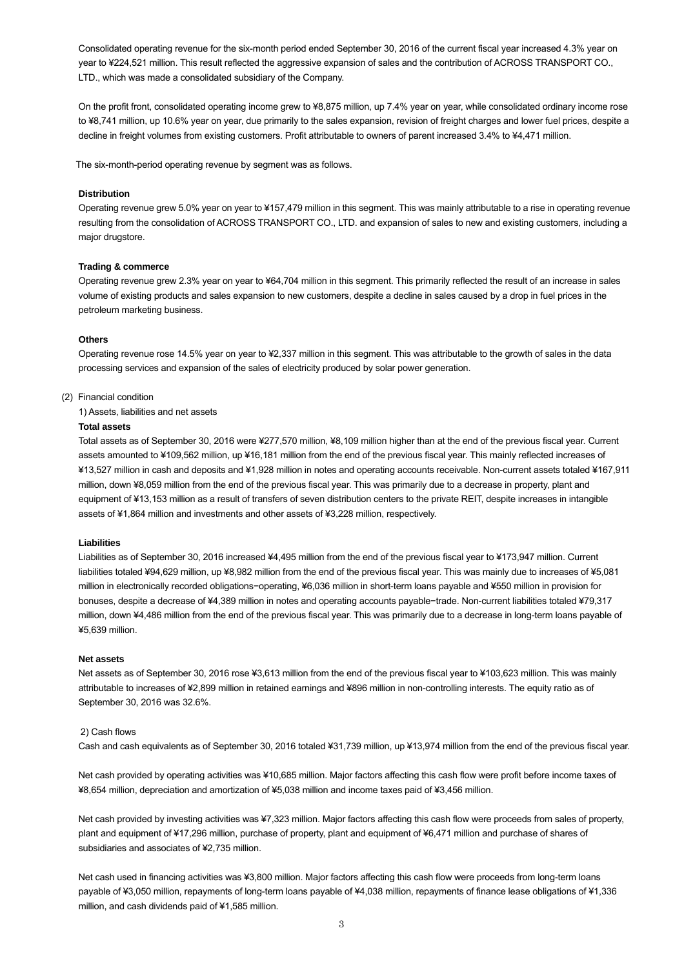Consolidated operating revenue for the six-month period ended September 30, 2016 of the current fiscal year increased 4.3% year on year to ¥224,521 million. This result reflected the aggressive expansion of sales and the contribution of ACROSS TRANSPORT CO., LTD., which was made a consolidated subsidiary of the Company.

On the profit front, consolidated operating income grew to ¥8,875 million, up 7.4% year on year, while consolidated ordinary income rose to ¥8,741 million, up 10.6% year on year, due primarily to the sales expansion, revision of freight charges and lower fuel prices, despite a decline in freight volumes from existing customers. Profit attributable to owners of parent increased 3.4% to ¥4,471 million.

The six-month-period operating revenue by segment was as follows.

#### **Distribution**

Operating revenue grew 5.0% year on year to ¥157,479 million in this segment. This was mainly attributable to a rise in operating revenue resulting from the consolidation of ACROSS TRANSPORT CO., LTD. and expansion of sales to new and existing customers, including a major drugstore.

#### **Trading & commerce**

Operating revenue grew 2.3% year on year to ¥64,704 million in this segment. This primarily reflected the result of an increase in sales volume of existing products and sales expansion to new customers, despite a decline in sales caused by a drop in fuel prices in the petroleum marketing business.

#### **Others**

Operating revenue rose 14.5% year on year to ¥2,337 million in this segment. This was attributable to the growth of sales in the data processing services and expansion of the sales of electricity produced by solar power generation.

## (2) Financial condition

1) Assets, liabilities and net assets

#### **Total assets**

Total assets as of September 30, 2016 were ¥277,570 million, ¥8,109 million higher than at the end of the previous fiscal year. Current assets amounted to ¥109,562 million, up ¥16,181 million from the end of the previous fiscal year. This mainly reflected increases of ¥13,527 million in cash and deposits and ¥1,928 million in notes and operating accounts receivable. Non-current assets totaled ¥167,911 million, down ¥8,059 million from the end of the previous fiscal year. This was primarily due to a decrease in property, plant and equipment of ¥13,153 million as a result of transfers of seven distribution centers to the private REIT, despite increases in intangible assets of ¥1,864 million and investments and other assets of ¥3,228 million, respectively.

#### **Liabilities**

Liabilities as of September 30, 2016 increased ¥4,495 million from the end of the previous fiscal year to ¥173,947 million. Current liabilities totaled ¥94,629 million, up ¥8,982 million from the end of the previous fiscal year. This was mainly due to increases of ¥5,081 million in electronically recorded obligations−operating, ¥6,036 million in short-term loans payable and ¥550 million in provision for bonuses, despite a decrease of ¥4,389 million in notes and operating accounts payable−trade. Non-current liabilities totaled ¥79,317 million, down ¥4,486 million from the end of the previous fiscal year. This was primarily due to a decrease in long-term loans payable of ¥5,639 million.

#### **Net assets**

Net assets as of September 30, 2016 rose ¥3,613 million from the end of the previous fiscal year to ¥103,623 million. This was mainly attributable to increases of ¥2,899 million in retained earnings and ¥896 million in non-controlling interests. The equity ratio as of September 30, 2016 was 32.6%.

#### 2) Cash flows

Cash and cash equivalents as of September 30, 2016 totaled ¥31,739 million, up ¥13,974 million from the end of the previous fiscal year.

Net cash provided by operating activities was ¥10,685 million. Major factors affecting this cash flow were profit before income taxes of ¥8,654 million, depreciation and amortization of ¥5,038 million and income taxes paid of ¥3,456 million.

Net cash provided by investing activities was ¥7,323 million. Major factors affecting this cash flow were proceeds from sales of property, plant and equipment of ¥17,296 million, purchase of property, plant and equipment of ¥6,471 million and purchase of shares of subsidiaries and associates of ¥2,735 million.

Net cash used in financing activities was ¥3,800 million. Major factors affecting this cash flow were proceeds from long-term loans payable of ¥3,050 million, repayments of long-term loans payable of ¥4,038 million, repayments of finance lease obligations of ¥1,336 million, and cash dividends paid of ¥1,585 million.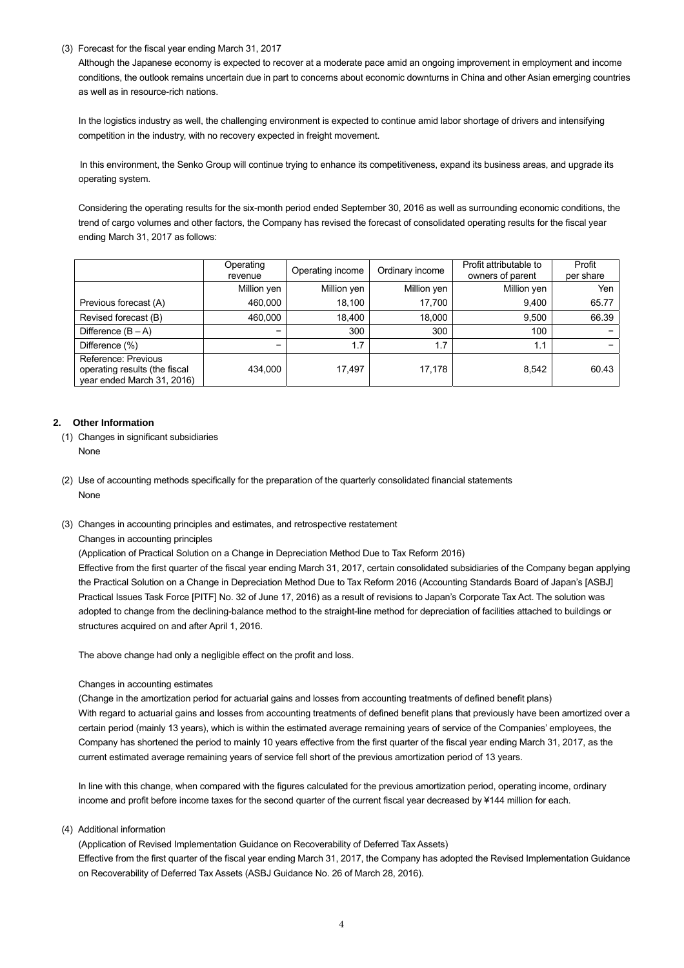(3) Forecast for the fiscal year ending March 31, 2017

Although the Japanese economy is expected to recover at a moderate pace amid an ongoing improvement in employment and income conditions, the outlook remains uncertain due in part to concerns about economic downturns in China and other Asian emerging countries as well as in resource-rich nations.

In the logistics industry as well, the challenging environment is expected to continue amid labor shortage of drivers and intensifying competition in the industry, with no recovery expected in freight movement.

In this environment, the Senko Group will continue trying to enhance its competitiveness, expand its business areas, and upgrade its operating system.

Considering the operating results for the six-month period ended September 30, 2016 as well as surrounding economic conditions, the trend of cargo volumes and other factors, the Company has revised the forecast of consolidated operating results for the fiscal year ending March 31, 2017 as follows:

|                                                                                    | Operating<br>revenue | Operating income | Ordinary income | Profit attributable to<br>owners of parent | Profit<br>per share |
|------------------------------------------------------------------------------------|----------------------|------------------|-----------------|--------------------------------------------|---------------------|
|                                                                                    | Million yen          | Million yen      | Million yen     | Million yen                                | Yen                 |
| Previous forecast (A)                                                              | 460,000              | 18,100           | 17,700          | 9,400                                      | 65.77               |
| Revised forecast (B)                                                               | 460,000              | 18,400           | 18,000          | 9,500                                      | 66.39               |
| Difference $(B - A)$                                                               | -                    | 300              | 300             | 100                                        |                     |
| Difference (%)                                                                     | -                    | 1.7              | 1.7             | 1.1                                        |                     |
| Reference: Previous<br>operating results (the fiscal<br>year ended March 31, 2016) | 434,000              | 17,497           | 17,178          | 8,542                                      | 60.43               |

## **2. Other Information**

- (1) Changes in significant subsidiaries None
- (2) Use of accounting methods specifically for the preparation of the quarterly consolidated financial statements None
- (3) Changes in accounting principles and estimates, and retrospective restatement
	- Changes in accounting principles

(Application of Practical Solution on a Change in Depreciation Method Due to Tax Reform 2016)

Effective from the first quarter of the fiscal year ending March 31, 2017, certain consolidated subsidiaries of the Company began applying the Practical Solution on a Change in Depreciation Method Due to Tax Reform 2016 (Accounting Standards Board of Japan's [ASBJ] Practical Issues Task Force [PITF] No. 32 of June 17, 2016) as a result of revisions to Japan's Corporate Tax Act. The solution was adopted to change from the declining-balance method to the straight-line method for depreciation of facilities attached to buildings or structures acquired on and after April 1, 2016.

The above change had only a negligible effect on the profit and loss.

## Changes in accounting estimates

(Change in the amortization period for actuarial gains and losses from accounting treatments of defined benefit plans) With regard to actuarial gains and losses from accounting treatments of defined benefit plans that previously have been amortized over a certain period (mainly 13 years), which is within the estimated average remaining years of service of the Companies' employees, the Company has shortened the period to mainly 10 years effective from the first quarter of the fiscal year ending March 31, 2017, as the current estimated average remaining years of service fell short of the previous amortization period of 13 years.

In line with this change, when compared with the figures calculated for the previous amortization period, operating income, ordinary income and profit before income taxes for the second quarter of the current fiscal year decreased by ¥144 million for each.

(4) Additional information

(Application of Revised Implementation Guidance on Recoverability of Deferred Tax Assets) Effective from the first quarter of the fiscal year ending March 31, 2017, the Company has adopted the Revised Implementation Guidance on Recoverability of Deferred Tax Assets (ASBJ Guidance No. 26 of March 28, 2016).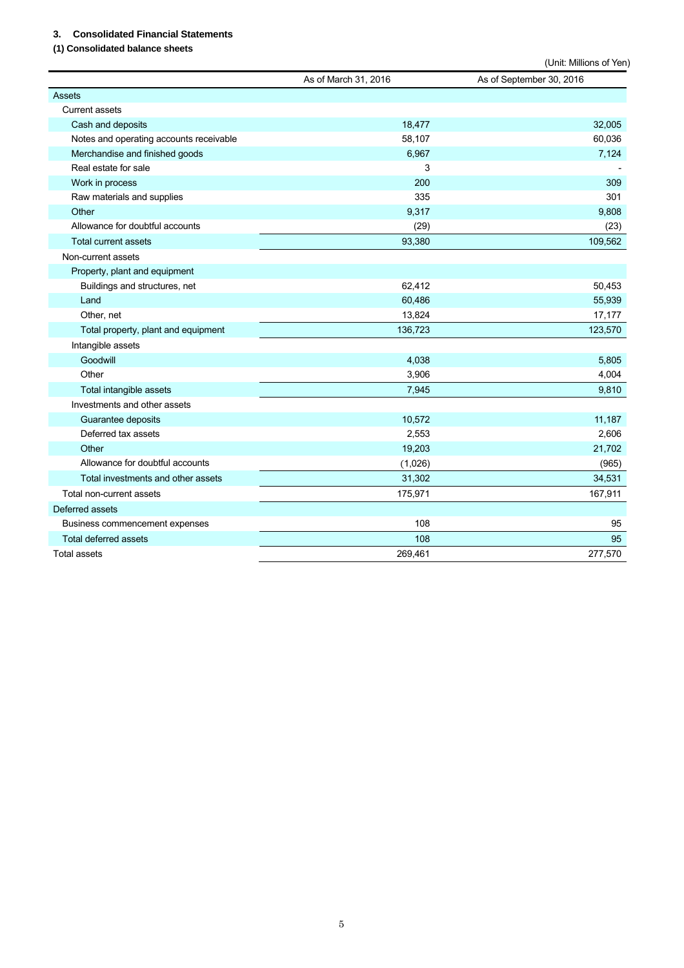# **3. Consolidated Financial Statements**

# **(1) Consolidated balance sheets**

|                                         |                      | (Unit: Millions of Yen)  |
|-----------------------------------------|----------------------|--------------------------|
|                                         | As of March 31, 2016 | As of September 30, 2016 |
| <b>Assets</b>                           |                      |                          |
| <b>Current assets</b>                   |                      |                          |
| Cash and deposits                       | 18,477               | 32,005                   |
| Notes and operating accounts receivable | 58,107               | 60,036                   |
| Merchandise and finished goods          | 6,967                | 7,124                    |
| Real estate for sale                    | 3                    |                          |
| Work in process                         | 200                  | 309                      |
| Raw materials and supplies              | 335                  | 301                      |
| Other                                   | 9,317                | 9,808                    |
| Allowance for doubtful accounts         | (29)                 | (23)                     |
| <b>Total current assets</b>             | 93,380               | 109,562                  |
| Non-current assets                      |                      |                          |
| Property, plant and equipment           |                      |                          |
| Buildings and structures, net           | 62,412               | 50,453                   |
| Land                                    | 60,486               | 55,939                   |
| Other, net                              | 13,824               | 17,177                   |
| Total property, plant and equipment     | 136,723              | 123,570                  |
| Intangible assets                       |                      |                          |
| Goodwill                                | 4,038                | 5,805                    |
| Other                                   | 3,906                | 4,004                    |
| Total intangible assets                 | 7,945                | 9,810                    |
| Investments and other assets            |                      |                          |
| Guarantee deposits                      | 10,572               | 11,187                   |
| Deferred tax assets                     | 2,553                | 2,606                    |
| Other                                   | 19,203               | 21,702                   |
| Allowance for doubtful accounts         | (1,026)              | (965)                    |
| Total investments and other assets      | 31,302               | 34,531                   |
| Total non-current assets                | 175,971              | 167,911                  |
| Deferred assets                         |                      |                          |
| Business commencement expenses          | 108                  | 95                       |
| Total deferred assets                   | 108                  | 95                       |
| <b>Total assets</b>                     | 269,461              | 277,570                  |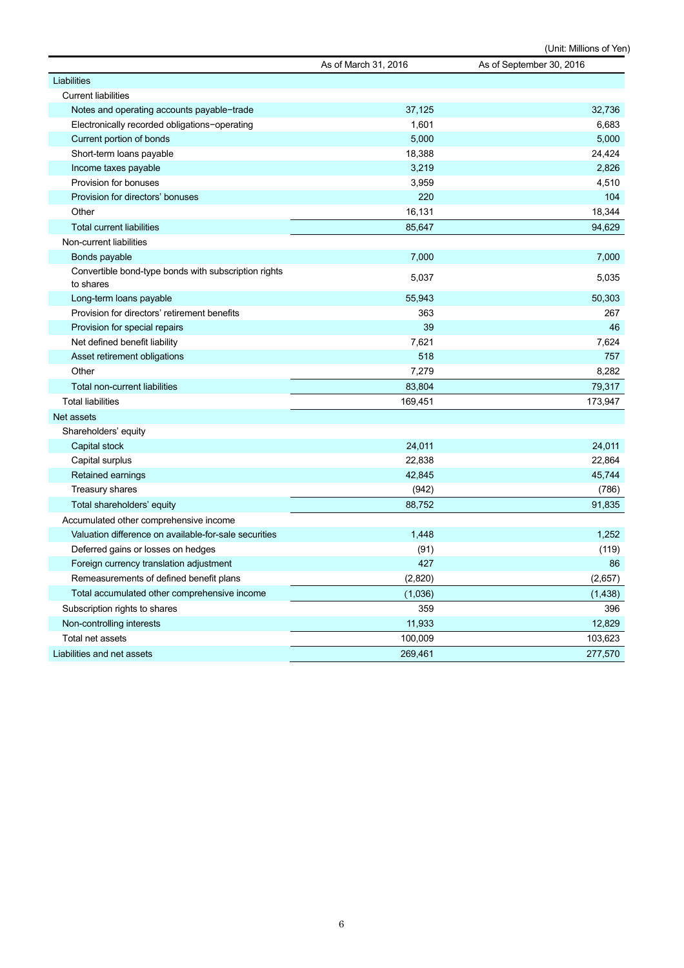(Unit: Millions of Yen)

|                                                                   | As of March 31, 2016 | As of September 30, 2016 |
|-------------------------------------------------------------------|----------------------|--------------------------|
| Liabilities                                                       |                      |                          |
| <b>Current liabilities</b>                                        |                      |                          |
| Notes and operating accounts payable-trade                        | 37,125               | 32,736                   |
| Electronically recorded obligations-operating                     | 1,601                | 6,683                    |
| Current portion of bonds                                          | 5,000                | 5,000                    |
| Short-term loans payable                                          | 18,388               | 24,424                   |
| Income taxes payable                                              | 3,219                | 2,826                    |
| Provision for bonuses                                             | 3,959                | 4,510                    |
| Provision for directors' bonuses                                  | 220                  | 104                      |
| Other                                                             | 16,131               | 18,344                   |
| <b>Total current liabilities</b>                                  | 85,647               | 94,629                   |
| Non-current liabilities                                           |                      |                          |
| Bonds payable                                                     | 7,000                | 7,000                    |
| Convertible bond-type bonds with subscription rights<br>to shares | 5,037                | 5,035                    |
| Long-term loans payable                                           | 55,943               | 50,303                   |
| Provision for directors' retirement benefits                      | 363                  | 267                      |
| Provision for special repairs                                     | 39                   | 46                       |
| Net defined benefit liability                                     | 7,621                | 7,624                    |
| Asset retirement obligations                                      | 518                  | 757                      |
| Other                                                             | 7,279                | 8,282                    |
| <b>Total non-current liabilities</b>                              | 83,804               | 79,317                   |
| <b>Total liabilities</b>                                          | 169,451              | 173,947                  |
| Net assets                                                        |                      |                          |
| Shareholders' equity                                              |                      |                          |
| Capital stock                                                     | 24,011               | 24,011                   |
| Capital surplus                                                   | 22,838               | 22,864                   |
| Retained earnings                                                 | 42,845               | 45,744                   |
| Treasury shares                                                   | (942)                | (786)                    |
| Total shareholders' equity                                        | 88,752               | 91,835                   |
| Accumulated other comprehensive income                            |                      |                          |
| Valuation difference on available-for-sale securities             | 1,448                | 1,252                    |
| Deferred gains or losses on hedges                                | (91)                 | (119)                    |
| Foreign currency translation adjustment                           | 427                  | 86                       |
| Remeasurements of defined benefit plans                           | (2,820)              | (2,657)                  |
| Total accumulated other comprehensive income                      | (1,036)              | (1, 438)                 |
| Subscription rights to shares                                     | 359                  | 396                      |
| Non-controlling interests                                         | 11,933               | 12,829                   |
| Total net assets                                                  | 100,009              | 103,623                  |
| Liabilities and net assets                                        | 269,461              | 277,570                  |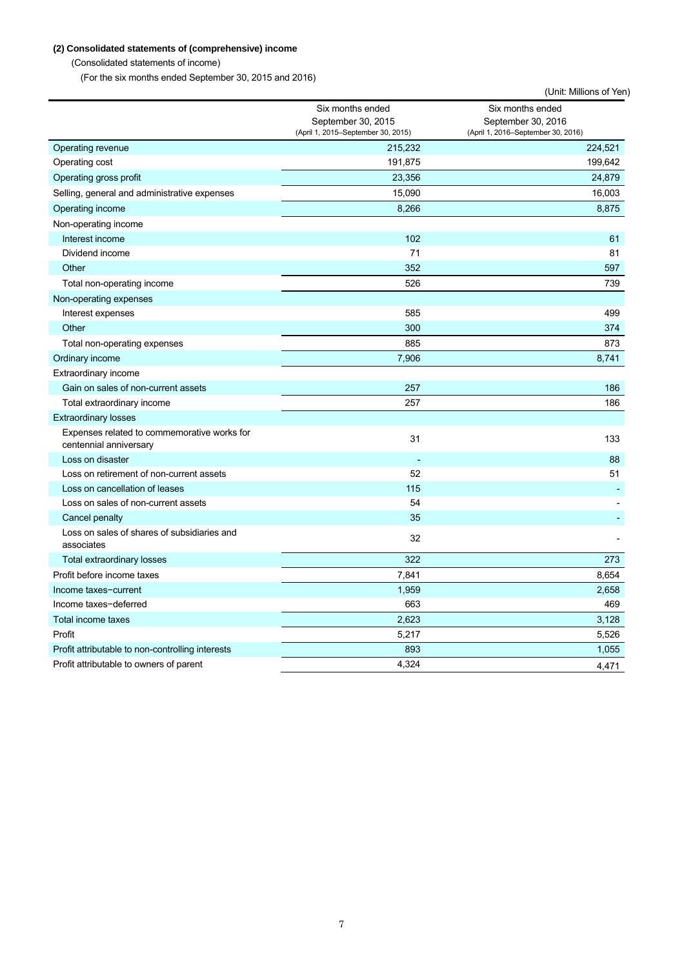# **(2) Consolidated statements of (comprehensive) income**

(Consolidated statements of income)

(For the six months ended September 30, 2015 and 2016)

|                                                                       |                                                                              | (Unit: Millions of Yen)                                                      |
|-----------------------------------------------------------------------|------------------------------------------------------------------------------|------------------------------------------------------------------------------|
|                                                                       | Six months ended<br>September 30, 2015<br>(April 1, 2015–September 30, 2015) | Six months ended<br>September 30, 2016<br>(April 1, 2016–September 30, 2016) |
| Operating revenue                                                     | 215,232                                                                      | 224,521                                                                      |
| Operating cost                                                        | 191,875                                                                      | 199,642                                                                      |
| Operating gross profit                                                | 23,356                                                                       | 24,879                                                                       |
| Selling, general and administrative expenses                          | 15,090                                                                       | 16,003                                                                       |
| Operating income                                                      | 8,266                                                                        | 8,875                                                                        |
| Non-operating income                                                  |                                                                              |                                                                              |
| Interest income                                                       | 102                                                                          | 61                                                                           |
| Dividend income                                                       | 71                                                                           | 81                                                                           |
| Other                                                                 | 352                                                                          | 597                                                                          |
| Total non-operating income                                            | 526                                                                          | 739                                                                          |
| Non-operating expenses                                                |                                                                              |                                                                              |
| Interest expenses                                                     | 585                                                                          | 499                                                                          |
| Other                                                                 | 300                                                                          | 374                                                                          |
| Total non-operating expenses                                          | 885                                                                          | 873                                                                          |
| Ordinary income                                                       | 7,906                                                                        | 8,741                                                                        |
| Extraordinary income                                                  |                                                                              |                                                                              |
| Gain on sales of non-current assets                                   | 257                                                                          | 186                                                                          |
| Total extraordinary income                                            | 257                                                                          | 186                                                                          |
| <b>Extraordinary losses</b>                                           |                                                                              |                                                                              |
| Expenses related to commemorative works for<br>centennial anniversary | 31                                                                           | 133                                                                          |
| Loss on disaster                                                      |                                                                              | 88                                                                           |
| Loss on retirement of non-current assets                              | 52                                                                           | 51                                                                           |
| Loss on cancellation of leases                                        | 115                                                                          |                                                                              |
| Loss on sales of non-current assets                                   | 54                                                                           |                                                                              |
| Cancel penalty                                                        | 35                                                                           |                                                                              |
| Loss on sales of shares of subsidiaries and<br>associates             | 32                                                                           |                                                                              |
| Total extraordinary losses                                            | 322                                                                          | 273                                                                          |
| Profit before income taxes                                            | 7,841                                                                        | 8,654                                                                        |
| Income taxes-current                                                  | 1,959                                                                        | 2,658                                                                        |
| Income taxes-deferred                                                 | 663                                                                          | 469                                                                          |
| Total income taxes                                                    | 2,623                                                                        | 3,128                                                                        |
| Profit                                                                | 5,217                                                                        | 5,526                                                                        |
| Profit attributable to non-controlling interests                      | 893                                                                          | 1,055                                                                        |
| Profit attributable to owners of parent                               | 4,324                                                                        | 4,471                                                                        |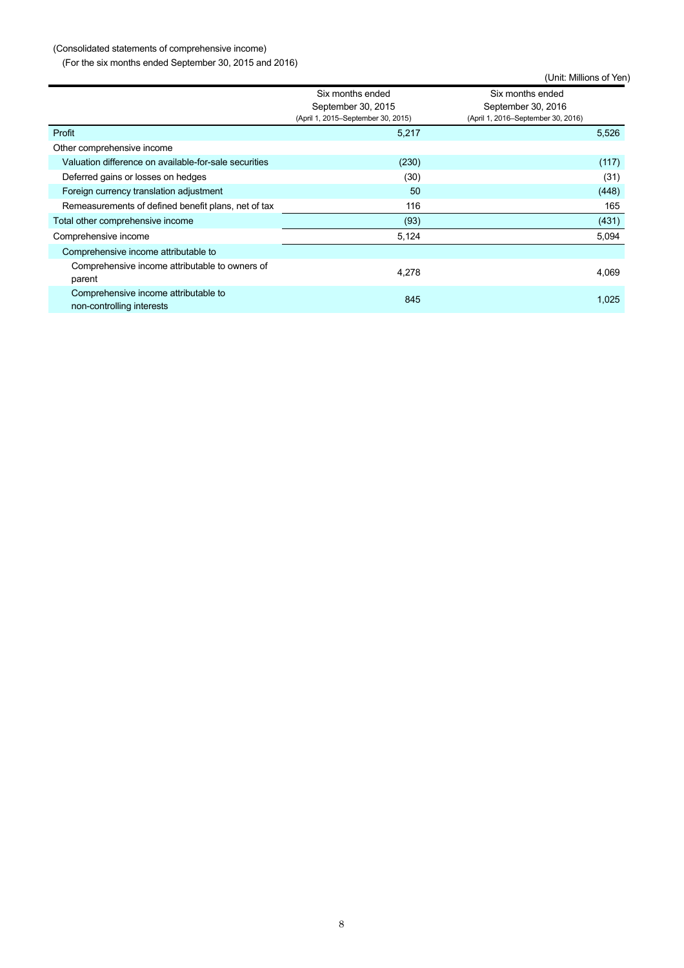# (Consolidated statements of comprehensive income)

(For the six months ended September 30, 2015 and 2016)

|                                                                   |                                                                              | (Unit: Millions of Yen)                                                      |       |
|-------------------------------------------------------------------|------------------------------------------------------------------------------|------------------------------------------------------------------------------|-------|
|                                                                   | Six months ended<br>September 30, 2015<br>(April 1, 2015–September 30, 2015) | Six months ended<br>September 30, 2016<br>(April 1, 2016–September 30, 2016) |       |
| Profit                                                            | 5,217                                                                        |                                                                              | 5,526 |
| Other comprehensive income                                        |                                                                              |                                                                              |       |
| Valuation difference on available-for-sale securities             | (230)                                                                        |                                                                              | (117) |
| Deferred gains or losses on hedges                                | (30)                                                                         |                                                                              | (31)  |
| Foreign currency translation adjustment                           | 50                                                                           |                                                                              | (448) |
| Remeasurements of defined benefit plans, net of tax               | 116                                                                          |                                                                              | 165   |
| Total other comprehensive income                                  | (93)                                                                         |                                                                              | (431) |
| Comprehensive income                                              | 5,124                                                                        |                                                                              | 5,094 |
| Comprehensive income attributable to                              |                                                                              |                                                                              |       |
| Comprehensive income attributable to owners of<br>parent          | 4,278                                                                        |                                                                              | 4,069 |
| Comprehensive income attributable to<br>non-controlling interests | 845                                                                          |                                                                              | 1,025 |